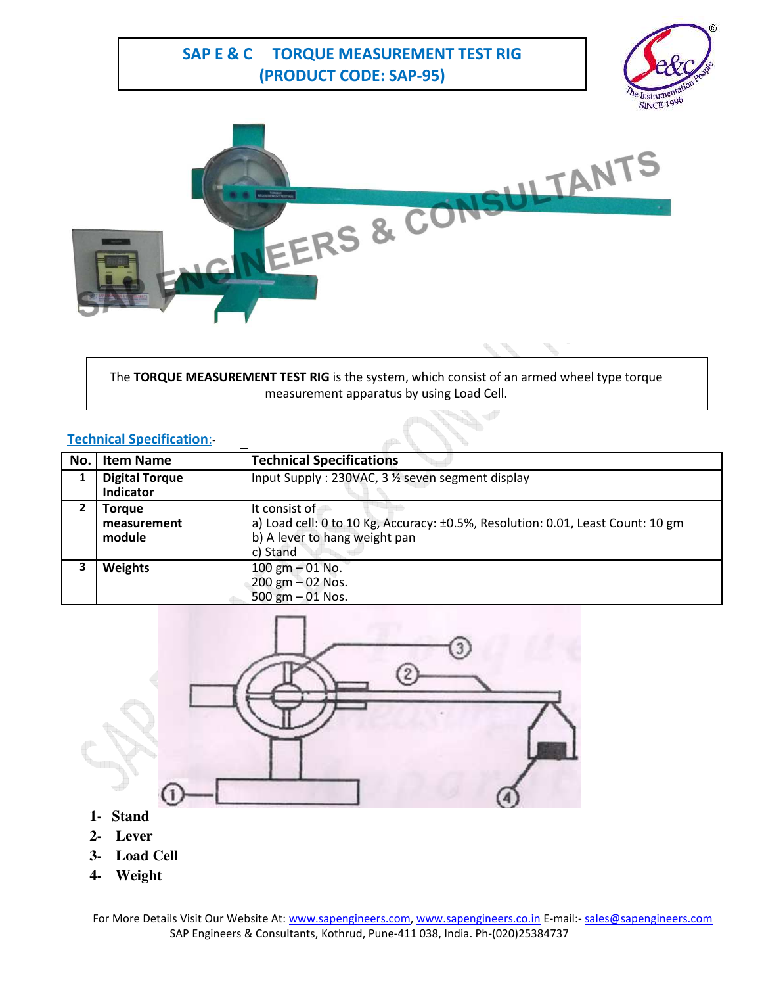**SAP E & C TORQUE MEASUREMENT TEST RIG (PRODUCT CODE: SAP-95)**





The **TORQUE MEASUREMENT TEST RIG** is the system, which consist of an armed wheel type torque measurement apparatus by using Load Cell.

## **Technical Specification**:-

| No. | <b>Item Name</b>                          | <b>Technical Specifications</b>                                                                                                               |
|-----|-------------------------------------------|-----------------------------------------------------------------------------------------------------------------------------------------------|
|     | <b>Digital Torque</b><br><b>Indicator</b> | Input Supply: 230VAC, 3 1/2 seven segment display                                                                                             |
| 2   | Torque<br>measurement<br>module           | It consist of<br>a) Load cell: 0 to 10 Kg, Accuracy: ±0.5%, Resolution: 0.01, Least Count: 10 gm<br>b) A lever to hang weight pan<br>c) Stand |
| 3   | <b>Weights</b>                            | 100 gm $-$ 01 No.<br>200 gm $-02$ Nos.<br>500 gm $-01$ Nos.                                                                                   |



- **1- Stand**
- **2- Lever**
- **3- Load Cell**
- **4- Weight**